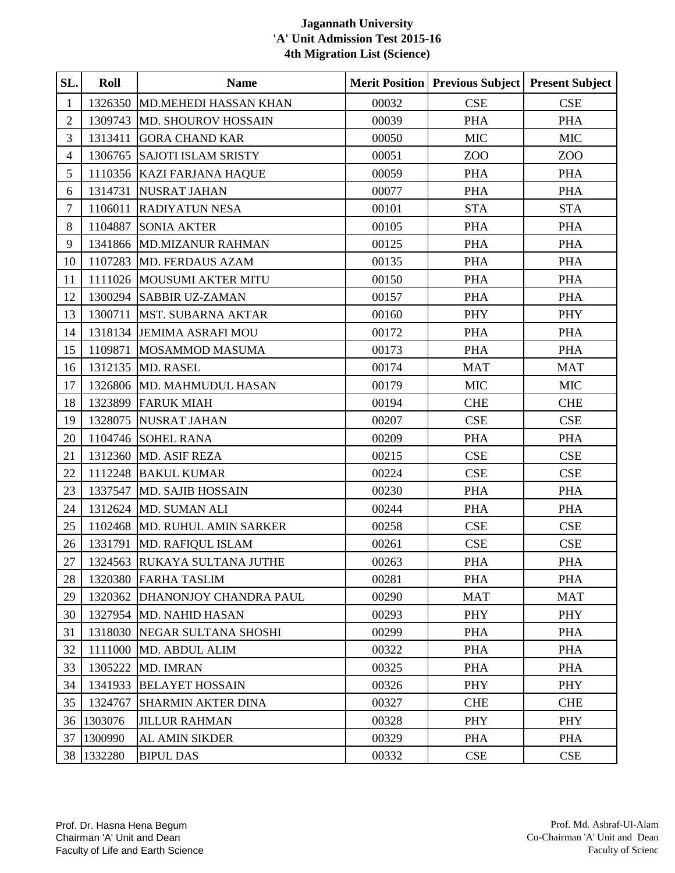| SL.            | Roll       | <b>Name</b>                   |       | <b>Merit Position   Previous Subject  </b> | <b>Present Subject</b> |
|----------------|------------|-------------------------------|-------|--------------------------------------------|------------------------|
| $\mathbf{1}$   | 1326350    | <b>MD.MEHEDI HASSAN KHAN</b>  | 00032 | <b>CSE</b>                                 | <b>CSE</b>             |
| $\overline{2}$ | 1309743    | MD. SHOUROV HOSSAIN           | 00039 | <b>PHA</b>                                 | <b>PHA</b>             |
| 3              | 1313411    | <b>GORA CHAND KAR</b>         | 00050 | <b>MIC</b>                                 | <b>MIC</b>             |
| $\overline{4}$ | 1306765    | <b>SAJOTI ISLAM SRISTY</b>    | 00051 | ZOO                                        | ZOO                    |
| 5              |            | 1110356 KAZI FARJANA HAQUE    | 00059 | <b>PHA</b>                                 | <b>PHA</b>             |
| 6              | 1314731    | <b>NUSRAT JAHAN</b>           | 00077 | <b>PHA</b>                                 | <b>PHA</b>             |
| $\tau$         | 1106011    | <b>RADIYATUN NESA</b>         | 00101 | <b>STA</b>                                 | <b>STA</b>             |
| $8\,$          | 1104887    | <b>SONIA AKTER</b>            | 00105 | <b>PHA</b>                                 | <b>PHA</b>             |
| 9              |            | 1341866 MD.MIZANUR RAHMAN     | 00125 | <b>PHA</b>                                 | <b>PHA</b>             |
| 10             | 1107283    | MD. FERDAUS AZAM              | 00135 | <b>PHA</b>                                 | <b>PHA</b>             |
| 11             |            | 1111026 MOUSUMI AKTER MITU    | 00150 | <b>PHA</b>                                 | <b>PHA</b>             |
| 12             |            | 1300294 SABBIR UZ-ZAMAN       | 00157 | <b>PHA</b>                                 | <b>PHA</b>             |
| 13             | 1300711    | <b>MST. SUBARNA AKTAR</b>     | 00160 | <b>PHY</b>                                 | <b>PHY</b>             |
| 14             |            | 1318134 JEMIMA ASRAFI MOU     | 00172 | <b>PHA</b>                                 | <b>PHA</b>             |
| 15             | 1109871    | <b>MOSAMMOD MASUMA</b>        | 00173 | <b>PHA</b>                                 | <b>PHA</b>             |
| 16             | 1312135    | <b>MD. RASEL</b>              | 00174 | <b>MAT</b>                                 | <b>MAT</b>             |
| 17             |            | 1326806 MD. MAHMUDUL HASAN    | 00179 | <b>MIC</b>                                 | <b>MIC</b>             |
| 18             |            | 1323899 FARUK MIAH            | 00194 | <b>CHE</b>                                 | <b>CHE</b>             |
| 19             |            | 1328075 NUSRAT JAHAN          | 00207 | CSE                                        | CSE                    |
| 20             |            | 1104746 SOHEL RANA            | 00209 | <b>PHA</b>                                 | <b>PHA</b>             |
| 21             | 1312360    | <b>MD. ASIF REZA</b>          | 00215 | <b>CSE</b>                                 | <b>CSE</b>             |
| 22             |            | 1112248 BAKUL KUMAR           | 00224 | <b>CSE</b>                                 | CSE                    |
| 23             | 1337547    | <b>MD. SAJIB HOSSAIN</b>      | 00230 | <b>PHA</b>                                 | <b>PHA</b>             |
| 24             |            | 1312624 MD. SUMAN ALI         | 00244 | <b>PHA</b>                                 | <b>PHA</b>             |
| 25             |            | 1102468 MD. RUHUL AMIN SARKER | 00258 | <b>CSE</b>                                 | CSE                    |
| 26             | 1331791    | MD. RAFIQUL ISLAM             | 00261 | <b>CSE</b>                                 | <b>CSE</b>             |
| $27\,$         |            | 1324563 RUKAYA SULTANA JUTHE  | 00263 | <b>PHA</b>                                 | <b>PHA</b>             |
| 28             |            | 1320380 FARHA TASLIM          | 00281 | <b>PHA</b>                                 | <b>PHA</b>             |
| 29             | 1320362    | DHANONJOY CHANDRA PAUL        | 00290 | <b>MAT</b>                                 | <b>MAT</b>             |
| 30             |            | 1327954 MD. NAHID HASAN       | 00293 | <b>PHY</b>                                 | <b>PHY</b>             |
| 31             | 1318030    | NEGAR SULTANA SHOSHI          | 00299 | <b>PHA</b>                                 | <b>PHA</b>             |
| 32             | 1111000    | <b>MD. ABDUL ALIM</b>         | 00322 | <b>PHA</b>                                 | <b>PHA</b>             |
| 33             | 1305222    | <b>MD. IMRAN</b>              | 00325 | <b>PHA</b>                                 | <b>PHA</b>             |
| 34             | 1341933    | <b>BELAYET HOSSAIN</b>        | 00326 | <b>PHY</b>                                 | <b>PHY</b>             |
| 35             | 1324767    | <b>SHARMIN AKTER DINA</b>     | 00327 | <b>CHE</b>                                 | <b>CHE</b>             |
|                | 36 1303076 | <b>JILLUR RAHMAN</b>          | 00328 | <b>PHY</b>                                 | <b>PHY</b>             |
|                | 37 1300990 | <b>AL AMIN SIKDER</b>         | 00329 | <b>PHA</b>                                 | <b>PHA</b>             |
|                | 38 1332280 | <b>BIPUL DAS</b>              | 00332 | CSE                                        | CSE                    |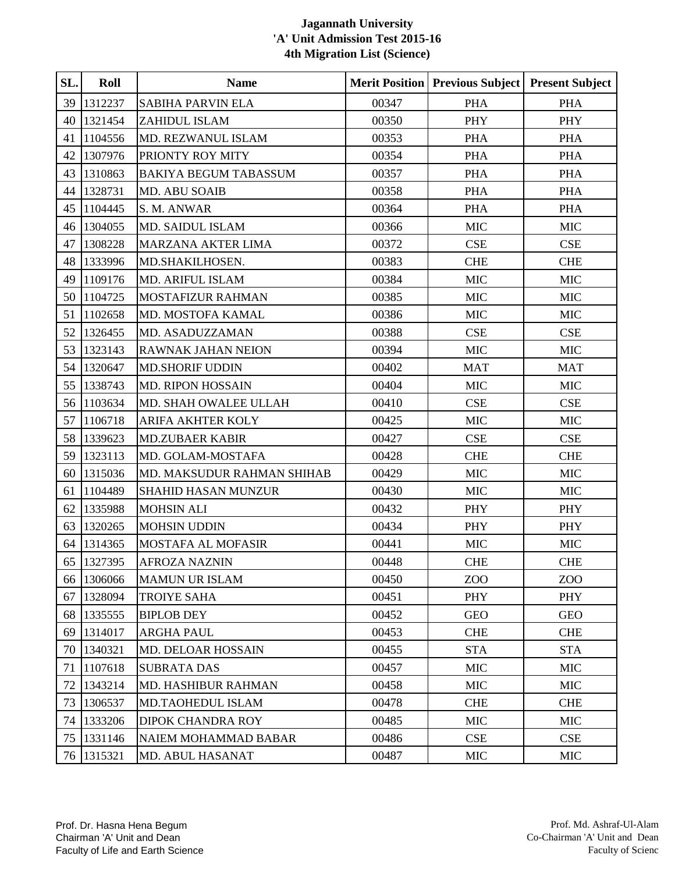| SL. | Roll       | <b>Name</b>                  |       | <b>Merit Position   Previous Subject  </b> | <b>Present Subject</b> |
|-----|------------|------------------------------|-------|--------------------------------------------|------------------------|
| 39  | 1312237    | <b>SABIHA PARVIN ELA</b>     | 00347 | <b>PHA</b>                                 | <b>PHA</b>             |
| 40  | 1321454    | ZAHIDUL ISLAM                | 00350 | PHY                                        | <b>PHY</b>             |
| 41  | 1104556    | MD. REZWANUL ISLAM           | 00353 | <b>PHA</b>                                 | <b>PHA</b>             |
| 42  | 1307976    | PRIONTY ROY MITY             | 00354 | <b>PHA</b>                                 | <b>PHA</b>             |
| 43  | 1310863    | <b>BAKIYA BEGUM TABASSUM</b> | 00357 | <b>PHA</b>                                 | <b>PHA</b>             |
| 44  | 1328731    | MD. ABU SOAIB                | 00358 | <b>PHA</b>                                 | <b>PHA</b>             |
| 45  | 1104445    | S. M. ANWAR                  | 00364 | <b>PHA</b>                                 | <b>PHA</b>             |
| 46  | 1304055    | MD. SAIDUL ISLAM             | 00366 | <b>MIC</b>                                 | <b>MIC</b>             |
| 47  | 1308228    | <b>MARZANA AKTER LIMA</b>    | 00372 | <b>CSE</b>                                 | <b>CSE</b>             |
| 48  | 1333996    | MD.SHAKILHOSEN.              | 00383 | <b>CHE</b>                                 | <b>CHE</b>             |
| 49  | 1109176    | MD. ARIFUL ISLAM             | 00384 | <b>MIC</b>                                 | <b>MIC</b>             |
| 50  | 1104725    | <b>MOSTAFIZUR RAHMAN</b>     | 00385 | <b>MIC</b>                                 | <b>MIC</b>             |
| 51  | 1102658    | MD. MOSTOFA KAMAL            | 00386 | <b>MIC</b>                                 | <b>MIC</b>             |
| 52  | 1326455    | MD. ASADUZZAMAN              | 00388 | CSE                                        | CSE                    |
| 53  | 1323143    | RAWNAK JAHAN NEION           | 00394 | <b>MIC</b>                                 | <b>MIC</b>             |
| 54  | 1320647    | <b>MD.SHORIF UDDIN</b>       | 00402 | <b>MAT</b>                                 | <b>MAT</b>             |
| 55  | 1338743    | <b>MD. RIPON HOSSAIN</b>     | 00404 | <b>MIC</b>                                 | <b>MIC</b>             |
| 56  | 1103634    | MD. SHAH OWALEE ULLAH        | 00410 | CSE                                        | <b>CSE</b>             |
| 57  | 1106718    | <b>ARIFA AKHTER KOLY</b>     | 00425 | <b>MIC</b>                                 | <b>MIC</b>             |
| 58  | 1339623    | <b>MD.ZUBAER KABIR</b>       | 00427 | CSE                                        | CSE                    |
| 59  | 1323113    | MD. GOLAM-MOSTAFA            | 00428 | <b>CHE</b>                                 | <b>CHE</b>             |
| 60  | 1315036    | MD. MAKSUDUR RAHMAN SHIHAB   | 00429 | <b>MIC</b>                                 | <b>MIC</b>             |
| 61  | 1104489    | SHAHID HASAN MUNZUR          | 00430 | <b>MIC</b>                                 | $\rm MIC$              |
| 62  | 1335988    | <b>MOHSIN ALI</b>            | 00432 | PHY                                        | <b>PHY</b>             |
| 63  | 1320265    | <b>MOHSIN UDDIN</b>          | 00434 | PHY                                        | PHY                    |
| 64  | 1314365    | MOSTAFA AL MOFASIR           | 00441 | <b>MIC</b>                                 | <b>MIC</b>             |
|     | 65 1327395 | <b>AFROZA NAZNIN</b>         | 00448 | <b>CHE</b>                                 | <b>CHE</b>             |
|     | 66 1306066 | <b>MAMUN UR ISLAM</b>        | 00450 | Z <sub>0</sub>                             | ZOO                    |
| 67  | 1328094    | TROIYE SAHA                  | 00451 | PHY                                        | PHY                    |
|     | 68 1335555 | <b>BIPLOB DEY</b>            | 00452 | <b>GEO</b>                                 | <b>GEO</b>             |
| 69  | 1314017    | <b>ARGHA PAUL</b>            | 00453 | <b>CHE</b>                                 | <b>CHE</b>             |
| 70  | 1340321    | MD. DELOAR HOSSAIN           | 00455 | <b>STA</b>                                 | <b>STA</b>             |
| 71  | 1107618    | <b>SUBRATA DAS</b>           | 00457 | <b>MIC</b>                                 | <b>MIC</b>             |
| 72  | 1343214    | <b>MD. HASHIBUR RAHMAN</b>   | 00458 | <b>MIC</b>                                 | <b>MIC</b>             |
| 73  | 1306537    | MD.TAOHEDUL ISLAM            | 00478 | <b>CHE</b>                                 | <b>CHE</b>             |
| 74  | 1333206    | DIPOK CHANDRA ROY            | 00485 | <b>MIC</b>                                 | <b>MIC</b>             |
| 75  | 1331146    | NAIEM MOHAMMAD BABAR         | 00486 | <b>CSE</b>                                 | CSE                    |
|     | 76 1315321 | MD. ABUL HASANAT             | 00487 | <b>MIC</b>                                 | <b>MIC</b>             |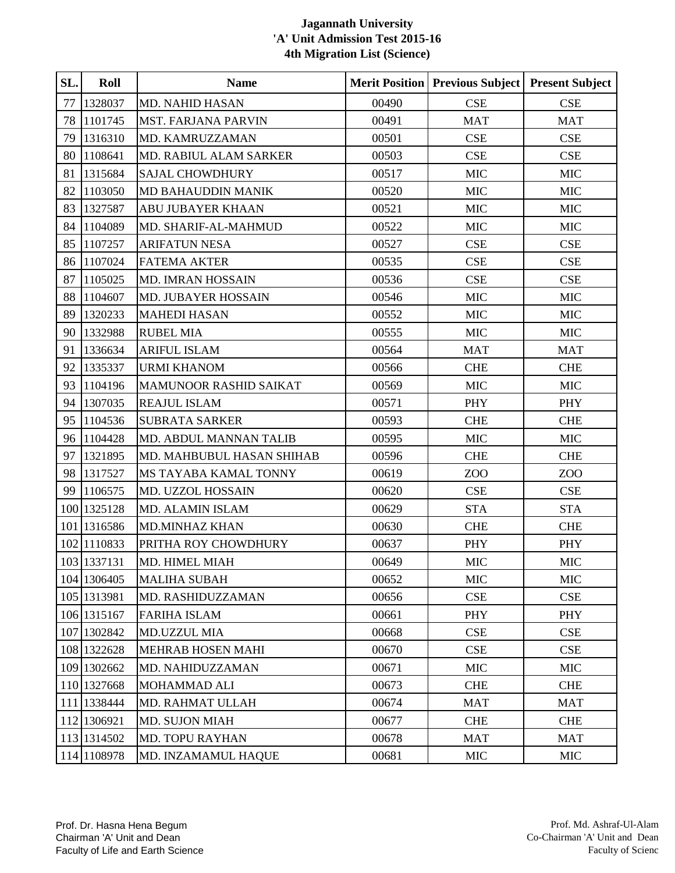| SL. | Roll        | <b>Name</b>                   |       | <b>Merit Position   Previous Subject</b> | <b>Present Subject</b> |
|-----|-------------|-------------------------------|-------|------------------------------------------|------------------------|
| 77  | 1328037     | <b>MD. NAHID HASAN</b>        | 00490 | <b>CSE</b>                               | <b>CSE</b>             |
| 78  | 1101745     | <b>MST. FARJANA PARVIN</b>    | 00491 | <b>MAT</b>                               | <b>MAT</b>             |
| 79  | 1316310     | MD. KAMRUZZAMAN               | 00501 | <b>CSE</b>                               | <b>CSE</b>             |
| 80  | 1108641     | MD. RABIUL ALAM SARKER        | 00503 | <b>CSE</b>                               | <b>CSE</b>             |
| 81  | 1315684     | <b>SAJAL CHOWDHURY</b>        | 00517 | <b>MIC</b>                               | <b>MIC</b>             |
| 82  | 1103050     | <b>MD BAHAUDDIN MANIK</b>     | 00520 | <b>MIC</b>                               | <b>MIC</b>             |
| 83  | 1327587     | ABU JUBAYER KHAAN             | 00521 | <b>MIC</b>                               | <b>MIC</b>             |
| 84  | 1104089     | MD. SHARIF-AL-MAHMUD          | 00522 | <b>MIC</b>                               | <b>MIC</b>             |
| 85  | 1107257     | <b>ARIFATUN NESA</b>          | 00527 | <b>CSE</b>                               | <b>CSE</b>             |
| 86  | 1107024     | <b>FATEMA AKTER</b>           | 00535 | <b>CSE</b>                               | <b>CSE</b>             |
| 87  | 1105025     | MD. IMRAN HOSSAIN             | 00536 | CSE                                      | <b>CSE</b>             |
| 88  | 1104607     | MD. JUBAYER HOSSAIN           | 00546 | <b>MIC</b>                               | <b>MIC</b>             |
| 89  | 1320233     | <b>MAHEDI HASAN</b>           | 00552 | <b>MIC</b>                               | <b>MIC</b>             |
| 90  | 1332988     | <b>RUBEL MIA</b>              | 00555 | <b>MIC</b>                               | <b>MIC</b>             |
| 91  | 1336634     | <b>ARIFUL ISLAM</b>           | 00564 | <b>MAT</b>                               | <b>MAT</b>             |
| 92  | 1335337     | <b>URMI KHANOM</b>            | 00566 | <b>CHE</b>                               | <b>CHE</b>             |
| 93  | 1104196     | <b>MAMUNOOR RASHID SAIKAT</b> | 00569 | <b>MIC</b>                               | <b>MIC</b>             |
| 94  | 1307035     | <b>REAJUL ISLAM</b>           | 00571 | PHY                                      | <b>PHY</b>             |
| 95  | 1104536     | <b>SUBRATA SARKER</b>         | 00593 | <b>CHE</b>                               | <b>CHE</b>             |
|     | 96 1104428  | MD. ABDUL MANNAN TALIB        | 00595 | <b>MIC</b>                               | <b>MIC</b>             |
| 97  | 1321895     | MD. MAHBUBUL HASAN SHIHAB     | 00596 | <b>CHE</b>                               | <b>CHE</b>             |
| 98  | 1317527     | MS TAYABA KAMAL TONNY         | 00619 | ZOO                                      | ZOO                    |
| 99  | 1106575     | MD. UZZOL HOSSAIN             | 00620 | CSE                                      | <b>CSE</b>             |
|     | 100 1325128 | <b>MD. ALAMIN ISLAM</b>       | 00629 | <b>STA</b>                               | <b>STA</b>             |
|     | 101 1316586 | <b>MD.MINHAZ KHAN</b>         | 00630 | <b>CHE</b>                               | <b>CHE</b>             |
|     | 102 1110833 | PRITHA ROY CHOWDHURY          | 00637 | <b>PHY</b>                               | <b>PHY</b>             |
|     | 103 1337131 | MD. HIMEL MIAH                | 00649 | <b>MIC</b>                               | <b>MIC</b>             |
|     | 104 1306405 | <b>MALIHA SUBAH</b>           | 00652 | <b>MIC</b>                               | <b>MIC</b>             |
|     | 105 1313981 | MD. RASHIDUZZAMAN             | 00656 | CSE                                      | <b>CSE</b>             |
|     | 106 1315167 | <b>FARIHA ISLAM</b>           | 00661 | PHY                                      | <b>PHY</b>             |
|     | 107 1302842 | <b>MD.UZZUL MIA</b>           | 00668 | <b>CSE</b>                               | <b>CSE</b>             |
|     | 108 1322628 | <b>MEHRAB HOSEN MAHI</b>      | 00670 | CSE                                      | CSE                    |
|     | 109 1302662 | MD. NAHIDUZZAMAN              | 00671 | <b>MIC</b>                               | <b>MIC</b>             |
|     | 110 1327668 | MOHAMMAD ALI                  | 00673 | <b>CHE</b>                               | <b>CHE</b>             |
|     | 111 1338444 | <b>MD. RAHMAT ULLAH</b>       | 00674 | <b>MAT</b>                               | <b>MAT</b>             |
|     | 112 1306921 | <b>MD. SUJON MIAH</b>         | 00677 | <b>CHE</b>                               | <b>CHE</b>             |
|     | 113 1314502 | <b>MD. TOPU RAYHAN</b>        | 00678 | <b>MAT</b>                               | <b>MAT</b>             |
|     | 114 1108978 | MD. INZAMAMUL HAQUE           | 00681 | <b>MIC</b>                               | <b>MIC</b>             |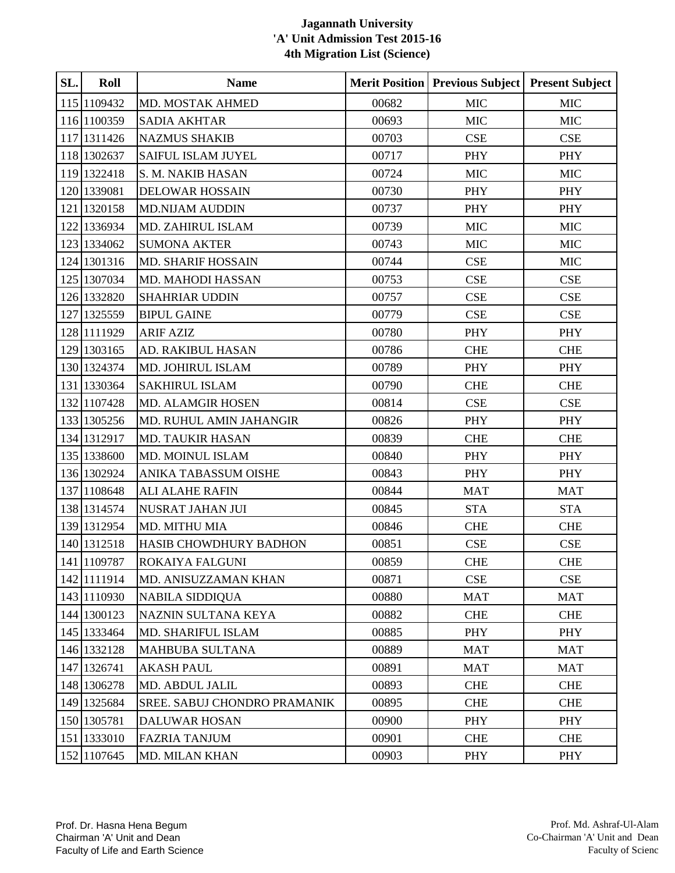| SL. | Roll        | <b>Name</b>                  |       | <b>Merit Position   Previous Subject  </b> | <b>Present Subject</b> |
|-----|-------------|------------------------------|-------|--------------------------------------------|------------------------|
|     | 115 1109432 | MD. MOSTAK AHMED             | 00682 | <b>MIC</b>                                 | <b>MIC</b>             |
|     | 116 1100359 | <b>SADIA AKHTAR</b>          | 00693 | <b>MIC</b>                                 | <b>MIC</b>             |
|     | 117 1311426 | <b>NAZMUS SHAKIB</b>         | 00703 | <b>CSE</b>                                 | <b>CSE</b>             |
|     | 118 1302637 | SAIFUL ISLAM JUYEL           | 00717 | PHY                                        | PHY                    |
|     | 119 1322418 | S. M. NAKIB HASAN            | 00724 | <b>MIC</b>                                 | <b>MIC</b>             |
|     | 120 1339081 | <b>DELOWAR HOSSAIN</b>       | 00730 | PHY                                        | PHY                    |
|     | 121 1320158 | <b>MD.NIJAM AUDDIN</b>       | 00737 | PHY                                        | PHY                    |
|     | 122 1336934 | MD. ZAHIRUL ISLAM            | 00739 | <b>MIC</b>                                 | $MIC$                  |
|     | 123 1334062 | <b>SUMONA AKTER</b>          | 00743 | <b>MIC</b>                                 | <b>MIC</b>             |
|     | 124 1301316 | <b>MD. SHARIF HOSSAIN</b>    | 00744 | CSE                                        | <b>MIC</b>             |
|     | 125 1307034 | MD. MAHODI HASSAN            | 00753 | CSE                                        | CSE                    |
|     | 126 1332820 | <b>SHAHRIAR UDDIN</b>        | 00757 | CSE                                        | <b>CSE</b>             |
|     | 127 1325559 | <b>BIPUL GAINE</b>           | 00779 | CSE                                        | <b>CSE</b>             |
|     | 128 1111929 | <b>ARIF AZIZ</b>             | 00780 | PHY                                        | PHY                    |
|     | 129 1303165 | AD. RAKIBUL HASAN            | 00786 | <b>CHE</b>                                 | <b>CHE</b>             |
|     | 130 1324374 | MD. JOHIRUL ISLAM            | 00789 | <b>PHY</b>                                 | PHY                    |
|     | 131 1330364 | SAKHIRUL ISLAM               | 00790 | <b>CHE</b>                                 | <b>CHE</b>             |
|     | 132 1107428 | MD. ALAMGIR HOSEN            | 00814 | CSE                                        | <b>CSE</b>             |
|     | 133 1305256 | MD. RUHUL AMIN JAHANGIR      | 00826 | PHY                                        | PHY                    |
|     | 134 1312917 | MD. TAUKIR HASAN             | 00839 | <b>CHE</b>                                 | <b>CHE</b>             |
|     | 135 1338600 | MD. MOINUL ISLAM             | 00840 | PHY                                        | PHY                    |
|     | 136 1302924 | ANIKA TABASSUM OISHE         | 00843 | PHY                                        | PHY                    |
|     | 137 1108648 | <b>ALI ALAHE RAFIN</b>       | 00844 | <b>MAT</b>                                 | <b>MAT</b>             |
|     | 138 1314574 | NUSRAT JAHAN JUI             | 00845 | <b>STA</b>                                 | <b>STA</b>             |
|     | 139 1312954 | MD. MITHU MIA                | 00846 | <b>CHE</b>                                 | <b>CHE</b>             |
|     | 140 1312518 | HASIB CHOWDHURY BADHON       | 00851 | CSE                                        | CSE                    |
|     | 141 1109787 | ROKAIYA FALGUNI              | 00859 | <b>CHE</b>                                 | <b>CHE</b>             |
|     | 142 1111914 | MD. ANISUZZAMAN KHAN         | 00871 | $\ensuremath{\mathsf{CSE}}$                | <b>CSE</b>             |
|     | 143 1110930 | <b>NABILA SIDDIQUA</b>       | 00880 | <b>MAT</b>                                 | <b>MAT</b>             |
|     | 144 1300123 | NAZNIN SULTANA KEYA          | 00882 | <b>CHE</b>                                 | <b>CHE</b>             |
|     | 145 1333464 | MD. SHARIFUL ISLAM           | 00885 | PHY                                        | PHY                    |
|     | 146 1332128 | <b>MAHBUBA SULTANA</b>       | 00889 | <b>MAT</b>                                 | <b>MAT</b>             |
|     | 147 1326741 | <b>AKASH PAUL</b>            | 00891 | <b>MAT</b>                                 | <b>MAT</b>             |
|     | 148 1306278 | MD. ABDUL JALIL              | 00893 | <b>CHE</b>                                 | <b>CHE</b>             |
|     | 149 1325684 | SREE. SABUJ CHONDRO PRAMANIK | 00895 | <b>CHE</b>                                 | <b>CHE</b>             |
|     | 150 1305781 | <b>DALUWAR HOSAN</b>         | 00900 | <b>PHY</b>                                 | PHY                    |
|     | 151 1333010 | <b>FAZRIA TANJUM</b>         | 00901 | <b>CHE</b>                                 | <b>CHE</b>             |
|     | 152 1107645 | <b>MD. MILAN KHAN</b>        | 00903 | PHY                                        | PHY                    |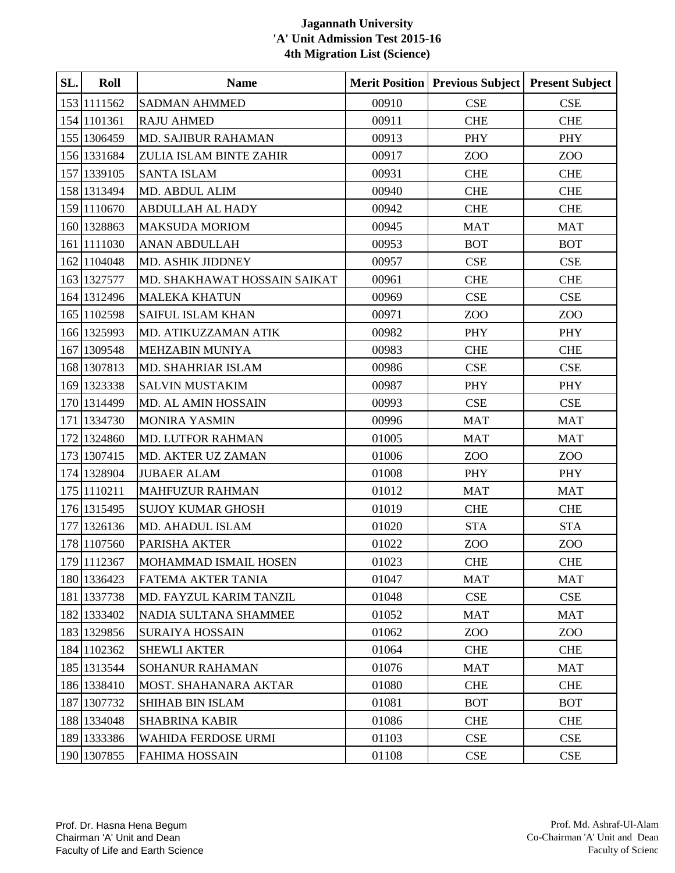| SL. | Roll        | <b>Name</b>                  |       | <b>Merit Position   Previous Subject</b> | <b>Present Subject</b> |
|-----|-------------|------------------------------|-------|------------------------------------------|------------------------|
|     | 153 1111562 | <b>SADMAN AHMMED</b>         | 00910 | <b>CSE</b>                               | <b>CSE</b>             |
|     | 154 1101361 | <b>RAJU AHMED</b>            | 00911 | <b>CHE</b>                               | <b>CHE</b>             |
|     | 155 1306459 | MD. SAJIBUR RAHAMAN          | 00913 | PHY                                      | PHY                    |
|     | 156 1331684 | ZULIA ISLAM BINTE ZAHIR      | 00917 | ZOO                                      | ZOO                    |
|     | 157 1339105 | <b>SANTA ISLAM</b>           | 00931 | <b>CHE</b>                               | <b>CHE</b>             |
|     | 158 1313494 | MD. ABDUL ALIM               | 00940 | <b>CHE</b>                               | <b>CHE</b>             |
|     | 159 1110670 | <b>ABDULLAH AL HADY</b>      | 00942 | <b>CHE</b>                               | <b>CHE</b>             |
|     | 160 1328863 | <b>MAKSUDA MORIOM</b>        | 00945 | <b>MAT</b>                               | <b>MAT</b>             |
|     | 161 1111030 | <b>ANAN ABDULLAH</b>         | 00953 | <b>BOT</b>                               | <b>BOT</b>             |
|     | 162 1104048 | MD. ASHIK JIDDNEY            | 00957 | CSE                                      | CSE                    |
|     | 163 1327577 | MD. SHAKHAWAT HOSSAIN SAIKAT | 00961 | <b>CHE</b>                               | <b>CHE</b>             |
|     | 164 1312496 | <b>MALEKA KHATUN</b>         | 00969 | CSE                                      | CSE                    |
|     | 165 1102598 | <b>SAIFUL ISLAM KHAN</b>     | 00971 | ZOO                                      | ZOO                    |
|     | 166 1325993 | MD. ATIKUZZAMAN ATIK         | 00982 | PHY                                      | <b>PHY</b>             |
|     | 167 1309548 | <b>MEHZABIN MUNIYA</b>       | 00983 | <b>CHE</b>                               | <b>CHE</b>             |
|     | 168 1307813 | <b>MD. SHAHRIAR ISLAM</b>    | 00986 | CSE                                      | CSE                    |
|     | 169 1323338 | SALVIN MUSTAKIM              | 00987 | PHY                                      | PHY                    |
|     | 170 1314499 | MD. AL AMIN HOSSAIN          | 00993 | <b>CSE</b>                               | <b>CSE</b>             |
|     | 171 1334730 | <b>MONIRA YASMIN</b>         | 00996 | <b>MAT</b>                               | <b>MAT</b>             |
|     | 172 1324860 | MD. LUTFOR RAHMAN            | 01005 | <b>MAT</b>                               | <b>MAT</b>             |
|     | 173 1307415 | MD. AKTER UZ ZAMAN           | 01006 | ZOO                                      | ZOO                    |
|     | 174 1328904 | <b>JUBAER ALAM</b>           | 01008 | PHY                                      | PHY                    |
|     | 175 1110211 | <b>MAHFUZUR RAHMAN</b>       | 01012 | <b>MAT</b>                               | <b>MAT</b>             |
|     | 176 1315495 | <b>SUJOY KUMAR GHOSH</b>     | 01019 | <b>CHE</b>                               | <b>CHE</b>             |
|     | 177 1326136 | MD. AHADUL ISLAM             | 01020 | <b>STA</b>                               | <b>STA</b>             |
|     | 178 1107560 | PARISHA AKTER                | 01022 | ZOO                                      | ZOO                    |
|     | 179 1112367 | <b>MOHAMMAD ISMAIL HOSEN</b> | 01023 | <b>CHE</b>                               | <b>CHE</b>             |
|     | 180 1336423 | FATEMA AKTER TANIA           | 01047 | <b>MAT</b>                               | <b>MAT</b>             |
|     | 181 1337738 | MD. FAYZUL KARIM TANZIL      | 01048 | CSE                                      | <b>CSE</b>             |
|     | 182 1333402 | NADIA SULTANA SHAMMEE        | 01052 | <b>MAT</b>                               | <b>MAT</b>             |
|     | 183 1329856 | <b>SURAIYA HOSSAIN</b>       | 01062 | ZOO                                      | ZO <sub>O</sub>        |
|     | 184 1102362 | <b>SHEWLI AKTER</b>          | 01064 | <b>CHE</b>                               | <b>CHE</b>             |
|     | 185 1313544 | <b>SOHANUR RAHAMAN</b>       | 01076 | <b>MAT</b>                               | <b>MAT</b>             |
|     | 186 1338410 | MOST. SHAHANARA AKTAR        | 01080 | <b>CHE</b>                               | <b>CHE</b>             |
|     | 187 1307732 | <b>SHIHAB BIN ISLAM</b>      | 01081 | <b>BOT</b>                               | <b>BOT</b>             |
|     | 188 1334048 | <b>SHABRINA KABIR</b>        | 01086 | <b>CHE</b>                               | <b>CHE</b>             |
|     | 189 1333386 | WAHIDA FERDOSE URMI          | 01103 | CSE                                      | <b>CSE</b>             |
|     | 190 1307855 | <b>FAHIMA HOSSAIN</b>        | 01108 | CSE                                      | CSE                    |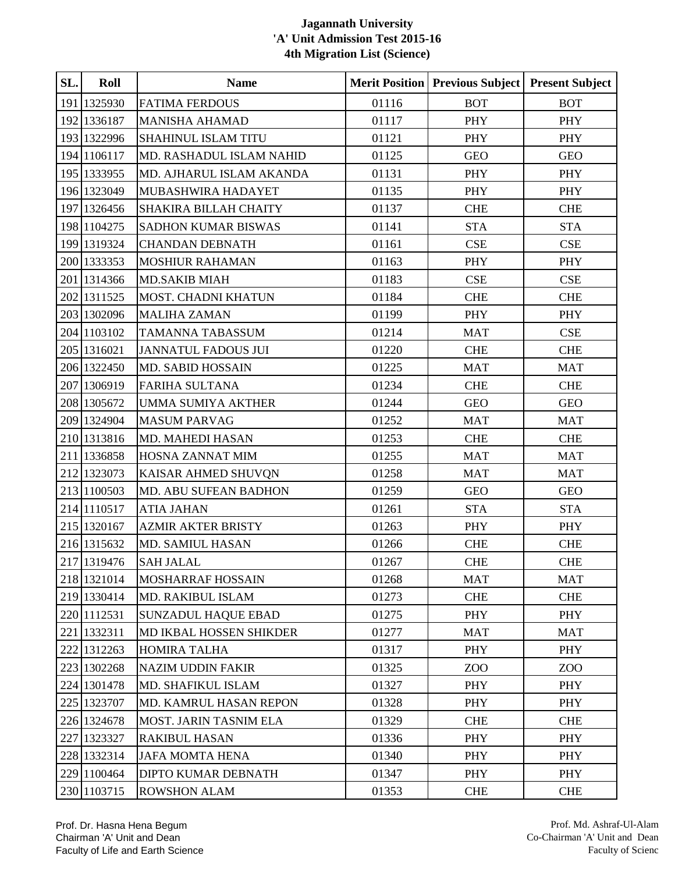| SL. | Roll        | <b>Name</b>                |       | Merit Position   Previous Subject   Present Subject |            |
|-----|-------------|----------------------------|-------|-----------------------------------------------------|------------|
|     | 191 1325930 | <b>FATIMA FERDOUS</b>      | 01116 | <b>BOT</b>                                          | <b>BOT</b> |
|     | 192 1336187 | <b>MANISHA AHAMAD</b>      | 01117 | PHY                                                 | PHY        |
|     | 193 1322996 | <b>SHAHINUL ISLAM TITU</b> | 01121 | <b>PHY</b>                                          | PHY        |
|     | 194 1106117 | MD. RASHADUL ISLAM NAHID   | 01125 | <b>GEO</b>                                          | <b>GEO</b> |
|     | 195 1333955 | MD. AJHARUL ISLAM AKANDA   | 01131 | PHY                                                 | PHY        |
|     | 196 1323049 | MUBASHWIRA HADAYET         | 01135 | <b>PHY</b>                                          | PHY        |
|     | 197 1326456 | SHAKIRA BILLAH CHAITY      | 01137 | <b>CHE</b>                                          | <b>CHE</b> |
|     | 198 1104275 | SADHON KUMAR BISWAS        | 01141 | <b>STA</b>                                          | <b>STA</b> |
|     | 199 1319324 | <b>CHANDAN DEBNATH</b>     | 01161 | CSE                                                 | CSE        |
|     | 200 1333353 | <b>MOSHIUR RAHAMAN</b>     | 01163 | PHY                                                 | PHY        |
|     | 201 1314366 | <b>MD.SAKIB MIAH</b>       | 01183 | CSE                                                 | CSE        |
|     | 202 1311525 | MOST. CHADNI KHATUN        | 01184 | <b>CHE</b>                                          | <b>CHE</b> |
|     | 203 1302096 | <b>MALIHA ZAMAN</b>        | 01199 | PHY                                                 | PHY        |
|     | 204 1103102 | TAMANNA TABASSUM           | 01214 | <b>MAT</b>                                          | CSE        |
|     | 205 1316021 | <b>JANNATUL FADOUS JUI</b> | 01220 | <b>CHE</b>                                          | <b>CHE</b> |
|     | 206 1322450 | <b>MD. SABID HOSSAIN</b>   | 01225 | <b>MAT</b>                                          | <b>MAT</b> |
|     | 207 1306919 | <b>FARIHA SULTANA</b>      | 01234 | <b>CHE</b>                                          | <b>CHE</b> |
|     | 208 1305672 | <b>UMMA SUMIYA AKTHER</b>  | 01244 | <b>GEO</b>                                          | <b>GEO</b> |
|     | 209 1324904 | <b>MASUM PARVAG</b>        | 01252 | <b>MAT</b>                                          | <b>MAT</b> |
|     | 210 1313816 | MD. MAHEDI HASAN           | 01253 | <b>CHE</b>                                          | <b>CHE</b> |
|     | 211 1336858 | HOSNA ZANNAT MIM           | 01255 | <b>MAT</b>                                          | <b>MAT</b> |
|     | 212 1323073 | KAISAR AHMED SHUVQN        | 01258 | <b>MAT</b>                                          | <b>MAT</b> |
|     | 213 1100503 | MD. ABU SUFEAN BADHON      | 01259 | <b>GEO</b>                                          | <b>GEO</b> |
|     | 214 1110517 | <b>ATIA JAHAN</b>          | 01261 | <b>STA</b>                                          | <b>STA</b> |
|     | 215 1320167 | <b>AZMIR AKTER BRISTY</b>  | 01263 | PHY                                                 | PHY        |
|     | 216 1315632 | MD. SAMIUL HASAN           | 01266 | <b>CHE</b>                                          | <b>CHE</b> |
|     | 217 1319476 | <b>SAH JALAL</b>           | 01267 | <b>CHE</b>                                          | <b>CHE</b> |
|     | 218 1321014 | <b>MOSHARRAF HOSSAIN</b>   | 01268 | <b>MAT</b>                                          | <b>MAT</b> |
|     | 219 1330414 | MD. RAKIBUL ISLAM          | 01273 | <b>CHE</b>                                          | <b>CHE</b> |
|     | 220 1112531 | <b>SUNZADUL HAQUE EBAD</b> | 01275 | <b>PHY</b>                                          | PHY        |
|     | 221 1332311 | MD IKBAL HOSSEN SHIKDER    | 01277 | <b>MAT</b>                                          | <b>MAT</b> |
|     | 222 1312263 | <b>HOMIRA TALHA</b>        | 01317 | <b>PHY</b>                                          | <b>PHY</b> |
|     | 223 1302268 | <b>NAZIM UDDIN FAKIR</b>   | 01325 | Z <sub>0</sub>                                      | ZOO        |
|     | 224 1301478 | MD. SHAFIKUL ISLAM         | 01327 | PHY                                                 | PHY        |
|     | 225 1323707 | MD. KAMRUL HASAN REPON     | 01328 | PHY                                                 | <b>PHY</b> |
|     | 226 1324678 | MOST. JARIN TASNIM ELA     | 01329 | <b>CHE</b>                                          | <b>CHE</b> |
|     | 227 1323327 | <b>RAKIBUL HASAN</b>       | 01336 | <b>PHY</b>                                          | <b>PHY</b> |
|     | 228 1332314 | <b>JAFA MOMTA HENA</b>     | 01340 | PHY                                                 | PHY        |
|     | 229 1100464 | DIPTO KUMAR DEBNATH        | 01347 | <b>PHY</b>                                          | PHY        |
|     | 230 1103715 | <b>ROWSHON ALAM</b>        | 01353 | <b>CHE</b>                                          | <b>CHE</b> |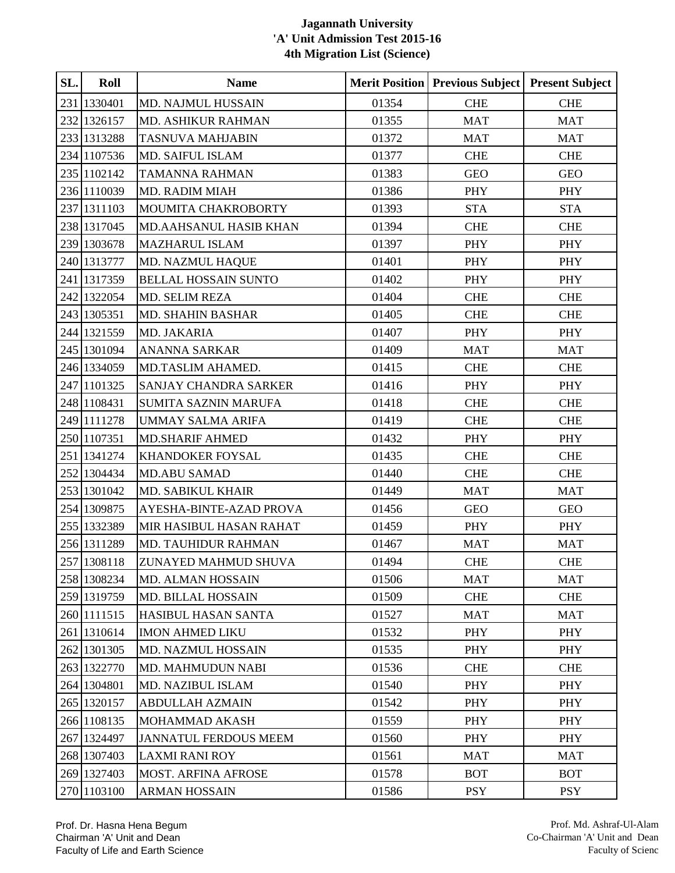| SL. | Roll        | <b>Name</b>                  |       | <b>Merit Position   Previous Subject</b> | <b>Present Subject</b> |
|-----|-------------|------------------------------|-------|------------------------------------------|------------------------|
|     | 231 1330401 | MD. NAJMUL HUSSAIN           | 01354 | <b>CHE</b>                               | <b>CHE</b>             |
|     | 232 1326157 | MD. ASHIKUR RAHMAN           | 01355 | <b>MAT</b>                               | <b>MAT</b>             |
|     | 233 1313288 | <b>TASNUVA MAHJABIN</b>      | 01372 | <b>MAT</b>                               | <b>MAT</b>             |
|     | 234 1107536 | <b>MD. SAIFUL ISLAM</b>      | 01377 | <b>CHE</b>                               | <b>CHE</b>             |
|     | 235 1102142 | <b>TAMANNA RAHMAN</b>        | 01383 | <b>GEO</b>                               | <b>GEO</b>             |
|     | 236 1110039 | <b>MD. RADIM MIAH</b>        | 01386 | <b>PHY</b>                               | PHY                    |
|     | 237 1311103 | MOUMITA CHAKROBORTY          | 01393 | <b>STA</b>                               | <b>STA</b>             |
|     | 238 1317045 | MD.AAHSANUL HASIB KHAN       | 01394 | <b>CHE</b>                               | <b>CHE</b>             |
|     | 239 1303678 | <b>MAZHARUL ISLAM</b>        | 01397 | PHY                                      | PHY                    |
|     | 240 1313777 | MD. NAZMUL HAQUE             | 01401 | PHY                                      | PHY                    |
|     | 241 1317359 | <b>BELLAL HOSSAIN SUNTO</b>  | 01402 | PHY                                      | PHY                    |
|     | 242 1322054 | <b>MD. SELIM REZA</b>        | 01404 | <b>CHE</b>                               | <b>CHE</b>             |
|     | 243 1305351 | <b>MD. SHAHIN BASHAR</b>     | 01405 | <b>CHE</b>                               | <b>CHE</b>             |
|     | 244 1321559 | MD. JAKARIA                  | 01407 | PHY                                      | PHY                    |
|     | 245 1301094 | <b>ANANNA SARKAR</b>         | 01409 | <b>MAT</b>                               | <b>MAT</b>             |
|     | 246 1334059 | MD.TASLIM AHAMED.            | 01415 | <b>CHE</b>                               | <b>CHE</b>             |
|     | 247 1101325 | SANJAY CHANDRA SARKER        | 01416 | PHY                                      | <b>PHY</b>             |
|     | 248 1108431 | <b>SUMITA SAZNIN MARUFA</b>  | 01418 | <b>CHE</b>                               | <b>CHE</b>             |
|     | 249 1111278 | <b>UMMAY SALMA ARIFA</b>     | 01419 | <b>CHE</b>                               | <b>CHE</b>             |
|     | 250 1107351 | <b>MD.SHARIF AHMED</b>       | 01432 | PHY                                      | PHY                    |
|     | 251 1341274 | <b>KHANDOKER FOYSAL</b>      | 01435 | <b>CHE</b>                               | <b>CHE</b>             |
|     | 252 1304434 | <b>MD.ABU SAMAD</b>          | 01440 | <b>CHE</b>                               | <b>CHE</b>             |
|     | 253 1301042 | MD. SABIKUL KHAIR            | 01449 | <b>MAT</b>                               | <b>MAT</b>             |
|     | 254 1309875 | AYESHA-BINTE-AZAD PROVA      | 01456 | <b>GEO</b>                               | <b>GEO</b>             |
|     | 255 1332389 | MIR HASIBUL HASAN RAHAT      | 01459 | PHY                                      | <b>PHY</b>             |
|     | 256 1311289 | MD. TAUHIDUR RAHMAN          | 01467 | <b>MAT</b>                               | <b>MAT</b>             |
|     | 257 1308118 | ZUNAYED MAHMUD SHUVA         | 01494 | <b>CHE</b>                               | <b>CHE</b>             |
|     | 258 1308234 | <b>MD. ALMAN HOSSAIN</b>     | 01506 | <b>MAT</b>                               | <b>MAT</b>             |
|     | 259 1319759 | <b>MD. BILLAL HOSSAIN</b>    | 01509 | <b>CHE</b>                               | <b>CHE</b>             |
|     | 260 1111515 | <b>HASIBUL HASAN SANTA</b>   | 01527 | <b>MAT</b>                               | <b>MAT</b>             |
|     | 261 1310614 | <b>IMON AHMED LIKU</b>       | 01532 | <b>PHY</b>                               | <b>PHY</b>             |
|     | 262 1301305 | MD. NAZMUL HOSSAIN           | 01535 | PHY                                      | PHY                    |
|     | 263 1322770 | <b>MD. MAHMUDUN NABI</b>     | 01536 | <b>CHE</b>                               | <b>CHE</b>             |
|     | 264 1304801 | MD. NAZIBUL ISLAM            | 01540 | <b>PHY</b>                               | <b>PHY</b>             |
|     | 265 1320157 | <b>ABDULLAH AZMAIN</b>       | 01542 | PHY                                      | PHY                    |
|     | 266 1108135 | MOHAMMAD AKASH               | 01559 | <b>PHY</b>                               | <b>PHY</b>             |
|     | 267 1324497 | <b>JANNATUL FERDOUS MEEM</b> | 01560 | <b>PHY</b>                               | <b>PHY</b>             |
|     | 268 1307403 | <b>LAXMI RANI ROY</b>        | 01561 | <b>MAT</b>                               | <b>MAT</b>             |
|     | 269 1327403 | <b>MOST. ARFINA AFROSE</b>   | 01578 | <b>BOT</b>                               | <b>BOT</b>             |
|     | 270 1103100 | ARMAN HOSSAIN                | 01586 | <b>PSY</b>                               | <b>PSY</b>             |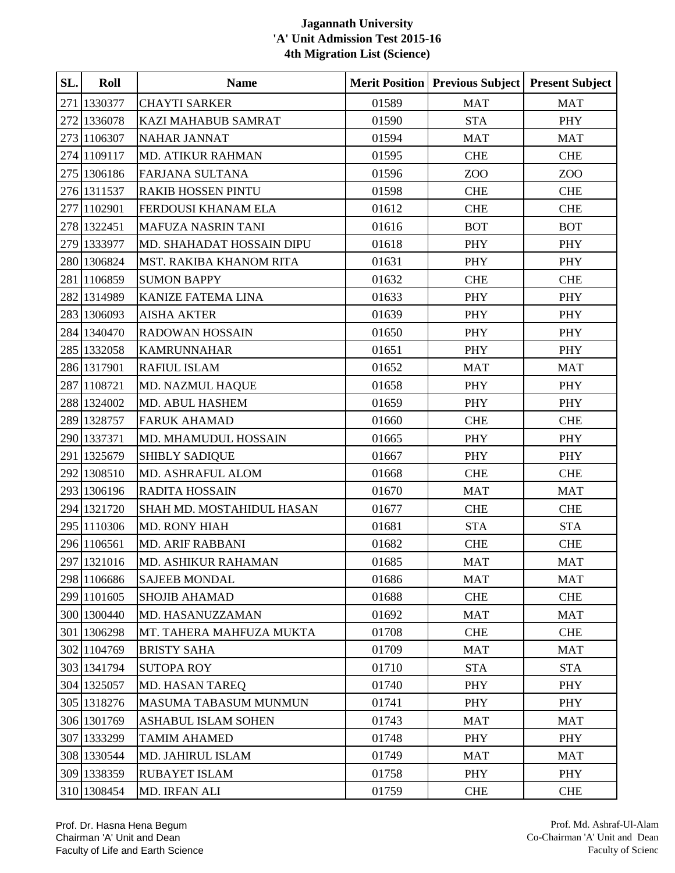| SL. | Roll        | <b>Name</b>                  |       | <b>Merit Position   Previous Subject</b> | <b>Present Subject</b> |
|-----|-------------|------------------------------|-------|------------------------------------------|------------------------|
|     | 271 1330377 | <b>CHAYTI SARKER</b>         | 01589 | <b>MAT</b>                               | <b>MAT</b>             |
|     | 272 1336078 | KAZI MAHABUB SAMRAT          | 01590 | <b>STA</b>                               | <b>PHY</b>             |
|     | 273 1106307 | <b>NAHAR JANNAT</b>          | 01594 | <b>MAT</b>                               | <b>MAT</b>             |
|     | 274 1109117 | MD. ATIKUR RAHMAN            | 01595 | <b>CHE</b>                               | <b>CHE</b>             |
|     | 275 1306186 | FARJANA SULTANA              | 01596 | ZOO                                      | ZOO                    |
|     | 276 1311537 | <b>RAKIB HOSSEN PINTU</b>    | 01598 | <b>CHE</b>                               | <b>CHE</b>             |
|     | 277 1102901 | FERDOUSI KHANAM ELA          | 01612 | <b>CHE</b>                               | <b>CHE</b>             |
|     | 278 1322451 | <b>MAFUZA NASRIN TANI</b>    | 01616 | <b>BOT</b>                               | <b>BOT</b>             |
|     | 279 1333977 | MD. SHAHADAT HOSSAIN DIPU    | 01618 | PHY                                      | PHY                    |
|     | 280 1306824 | MST. RAKIBA KHANOM RITA      | 01631 | <b>PHY</b>                               | PHY                    |
|     | 281 1106859 | <b>SUMON BAPPY</b>           | 01632 | <b>CHE</b>                               | <b>CHE</b>             |
|     | 282 1314989 | <b>KANIZE FATEMA LINA</b>    | 01633 | <b>PHY</b>                               | PHY                    |
|     | 283 1306093 | <b>AISHA AKTER</b>           | 01639 | <b>PHY</b>                               | <b>PHY</b>             |
|     | 284 1340470 | <b>RADOWAN HOSSAIN</b>       | 01650 | PHY                                      | PHY                    |
|     | 285 1332058 | <b>KAMRUNNAHAR</b>           | 01651 | PHY                                      | PHY                    |
|     | 286 1317901 | <b>RAFIUL ISLAM</b>          | 01652 | <b>MAT</b>                               | <b>MAT</b>             |
|     | 287 1108721 | MD. NAZMUL HAQUE             | 01658 | PHY                                      | PHY                    |
|     | 288 1324002 | <b>MD. ABUL HASHEM</b>       | 01659 | PHY                                      | PHY                    |
|     | 289 1328757 | <b>FARUK AHAMAD</b>          | 01660 | <b>CHE</b>                               | <b>CHE</b>             |
|     | 290 1337371 | MD. MHAMUDUL HOSSAIN         | 01665 | PHY                                      | <b>PHY</b>             |
|     | 291 1325679 | <b>SHIBLY SADIQUE</b>        | 01667 | PHY                                      | PHY                    |
|     | 292 1308510 | MD. ASHRAFUL ALOM            | 01668 | <b>CHE</b>                               | <b>CHE</b>             |
|     | 293 1306196 | <b>RADITA HOSSAIN</b>        | 01670 | <b>MAT</b>                               | <b>MAT</b>             |
|     | 294 1321720 | SHAH MD. MOSTAHIDUL HASAN    | 01677 | <b>CHE</b>                               | <b>CHE</b>             |
|     | 295 1110306 | MD. RONY HIAH                | 01681 | <b>STA</b>                               | <b>STA</b>             |
|     | 296 1106561 | <b>MD. ARIF RABBANI</b>      | 01682 | <b>CHE</b>                               | <b>CHE</b>             |
|     | 297 1321016 | MD. ASHIKUR RAHAMAN          | 01685 | <b>MAT</b>                               | MAT                    |
|     | 298 1106686 | <b>SAJEEB MONDAL</b>         | 01686 | MAT                                      | <b>MAT</b>             |
|     | 299 1101605 | <b>SHOJIB AHAMAD</b>         | 01688 | <b>CHE</b>                               | <b>CHE</b>             |
|     | 300 1300440 | MD. HASANUZZAMAN             | 01692 | <b>MAT</b>                               | <b>MAT</b>             |
|     | 301 1306298 | MT. TAHERA MAHFUZA MUKTA     | 01708 | <b>CHE</b>                               | <b>CHE</b>             |
|     | 302 1104769 | <b>BRISTY SAHA</b>           | 01709 | <b>MAT</b>                               | <b>MAT</b>             |
|     | 303 1341794 | <b>SUTOPA ROY</b>            | 01710 | <b>STA</b>                               | <b>STA</b>             |
|     | 304 1325057 | <b>MD. HASAN TAREQ</b>       | 01740 | PHY                                      | <b>PHY</b>             |
|     | 305 1318276 | <b>MASUMA TABASUM MUNMUN</b> | 01741 | PHY                                      | PHY                    |
|     | 306 1301769 | <b>ASHABUL ISLAM SOHEN</b>   | 01743 | <b>MAT</b>                               | <b>MAT</b>             |
|     | 307 1333299 | <b>TAMIM AHAMED</b>          | 01748 | PHY                                      | <b>PHY</b>             |
|     | 308 1330544 | MD. JAHIRUL ISLAM            | 01749 | <b>MAT</b>                               | <b>MAT</b>             |
|     | 309 1338359 | <b>RUBAYET ISLAM</b>         | 01758 | <b>PHY</b>                               | PHY                    |
|     | 310 1308454 | MD. IRFAN ALI                | 01759 | CHE                                      | <b>CHE</b>             |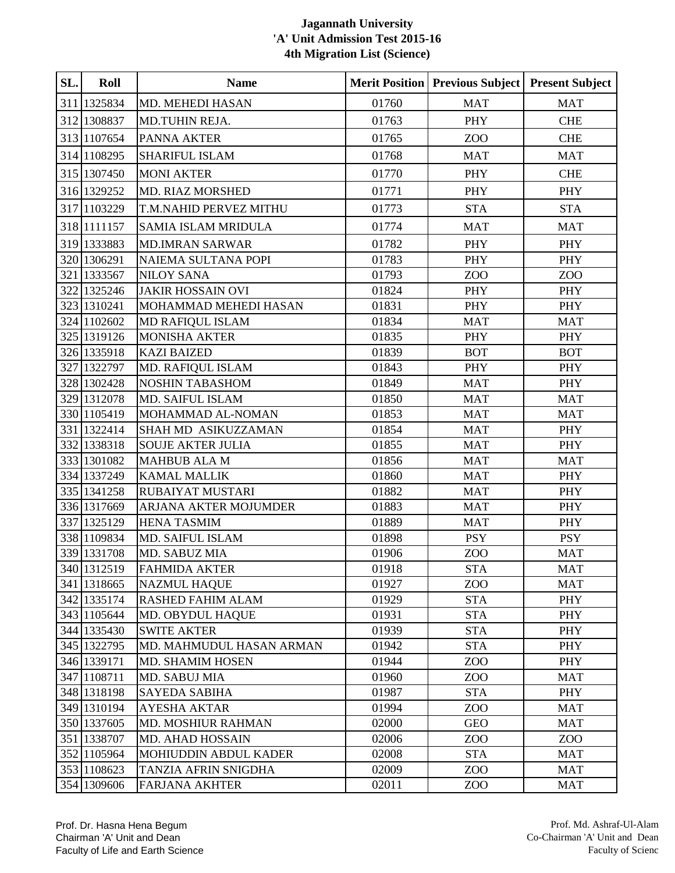| SL. | Roll        | <b>Name</b>                |       | <b>Merit Position   Previous Subject</b> | <b>Present Subject</b> |
|-----|-------------|----------------------------|-------|------------------------------------------|------------------------|
|     | 311 1325834 | <b>MD. MEHEDI HASAN</b>    | 01760 | <b>MAT</b>                               | <b>MAT</b>             |
|     | 312 1308837 | MD.TUHIN REJA.             | 01763 | PHY                                      | <b>CHE</b>             |
|     | 313 1107654 | <b>PANNA AKTER</b>         | 01765 | ZOO                                      | <b>CHE</b>             |
|     | 314 1108295 | SHARIFUL ISLAM             | 01768 | <b>MAT</b>                               | <b>MAT</b>             |
|     | 315 1307450 | <b>MONI AKTER</b>          | 01770 | PHY                                      | <b>CHE</b>             |
|     | 316 1329252 | <b>MD. RIAZ MORSHED</b>    | 01771 | <b>PHY</b>                               | PHY                    |
|     | 317 1103229 | T.M.NAHID PERVEZ MITHU     | 01773 | <b>STA</b>                               | <b>STA</b>             |
|     | 318 1111157 | <b>SAMIA ISLAM MRIDULA</b> | 01774 | <b>MAT</b>                               | <b>MAT</b>             |
|     | 319 1333883 | <b>MD.IMRAN SARWAR</b>     | 01782 | <b>PHY</b>                               | PHY                    |
|     | 320 1306291 | <b>NAIEMA SULTANA POPI</b> | 01783 | PHY                                      | <b>PHY</b>             |
|     | 321 1333567 | <b>NILOY SANA</b>          | 01793 | ZOO                                      | ZOO                    |
|     | 322 1325246 | <b>JAKIR HOSSAIN OVI</b>   | 01824 | <b>PHY</b>                               | PHY                    |
|     | 323 1310241 | MOHAMMAD MEHEDI HASAN      | 01831 | PHY                                      | <b>PHY</b>             |
|     | 324 1102602 | MD RAFIQUL ISLAM           | 01834 | <b>MAT</b>                               | <b>MAT</b>             |
|     | 325 1319126 | <b>MONISHA AKTER</b>       | 01835 | PHY                                      | PHY                    |
|     | 326 1335918 | <b>KAZI BAIZED</b>         | 01839 | <b>BOT</b>                               | <b>BOT</b>             |
|     | 327 1322797 | MD. RAFIQUL ISLAM          | 01843 | <b>PHY</b>                               | <b>PHY</b>             |
|     | 328 1302428 | <b>NOSHIN TABASHOM</b>     | 01849 | <b>MAT</b>                               | PHY                    |
|     | 329 1312078 | MD. SAIFUL ISLAM           | 01850 | <b>MAT</b>                               | <b>MAT</b>             |
|     | 330 1105419 | MOHAMMAD AL-NOMAN          | 01853 | <b>MAT</b>                               | <b>MAT</b>             |
|     | 331 1322414 | SHAH MD ASIKUZZAMAN        | 01854 | <b>MAT</b>                               | PHY                    |
|     | 332 1338318 | <b>SOUJE AKTER JULIA</b>   | 01855 | <b>MAT</b>                               | <b>PHY</b>             |
|     | 333 1301082 | <b>MAHBUB ALA M</b>        | 01856 | <b>MAT</b>                               | <b>MAT</b>             |
|     | 334 1337249 | <b>KAMAL MALLIK</b>        | 01860 | <b>MAT</b>                               | PHY                    |
|     | 335 1341258 | <b>RUBAIYAT MUSTARI</b>    | 01882 | <b>MAT</b>                               | PHY                    |
|     | 336 1317669 | ARJANA AKTER MOJUMDER      | 01883 | <b>MAT</b>                               | <b>PHY</b>             |
|     | 337 1325129 | <b>HENA TASMIM</b>         | 01889 | <b>MAT</b>                               | <b>PHY</b>             |
|     | 338 1109834 | MD. SAIFUL ISLAM           | 01898 | <b>PSY</b>                               | <b>PSY</b>             |
|     | 339 1331708 | MD. SABUZ MIA              | 01906 | ZO <sub>O</sub>                          | <b>MAT</b>             |
|     | 340 1312519 | <b>FAHMIDA AKTER</b>       | 01918 | <b>STA</b>                               | <b>MAT</b>             |
|     | 341 1318665 | <b>NAZMUL HAQUE</b>        | 01927 | ZOO                                      | <b>MAT</b>             |
|     | 342 1335174 | <b>RASHED FAHIM ALAM</b>   | 01929 | <b>STA</b>                               | PHY                    |
|     | 343 1105644 | MD. OBYDUL HAQUE           | 01931 | <b>STA</b>                               | PHY                    |
|     | 344 1335430 | <b>SWITE AKTER</b>         | 01939 | <b>STA</b>                               | PHY                    |
|     | 345 1322795 | MD. MAHMUDUL HASAN ARMAN   | 01942 | <b>STA</b>                               | PHY                    |
|     | 346 1339171 | <b>MD. SHAMIM HOSEN</b>    | 01944 | ZOO                                      | PHY                    |
|     | 347 1108711 | <b>MD. SABUJ MIA</b>       | 01960 | ZOO                                      | <b>MAT</b>             |
|     | 348 1318198 | <b>SAYEDA SABIHA</b>       | 01987 | <b>STA</b>                               | PHY                    |
|     | 349 1310194 | <b>AYESHA AKTAR</b>        | 01994 | ZOO                                      | <b>MAT</b>             |
|     | 350 1337605 | MD. MOSHIUR RAHMAN         | 02000 | <b>GEO</b>                               | <b>MAT</b>             |
|     | 351 1338707 | MD. AHAD HOSSAIN           | 02006 | ZOO                                      | ZOO                    |
|     | 352 1105964 | MOHIUDDIN ABDUL KADER      | 02008 | <b>STA</b>                               | <b>MAT</b>             |
|     | 353 1108623 | TANZIA AFRIN SNIGDHA       | 02009 | ZOO                                      | <b>MAT</b>             |
|     | 354 1309606 | <b>FARJANA AKHTER</b>      | 02011 | ZOO                                      | <b>MAT</b>             |